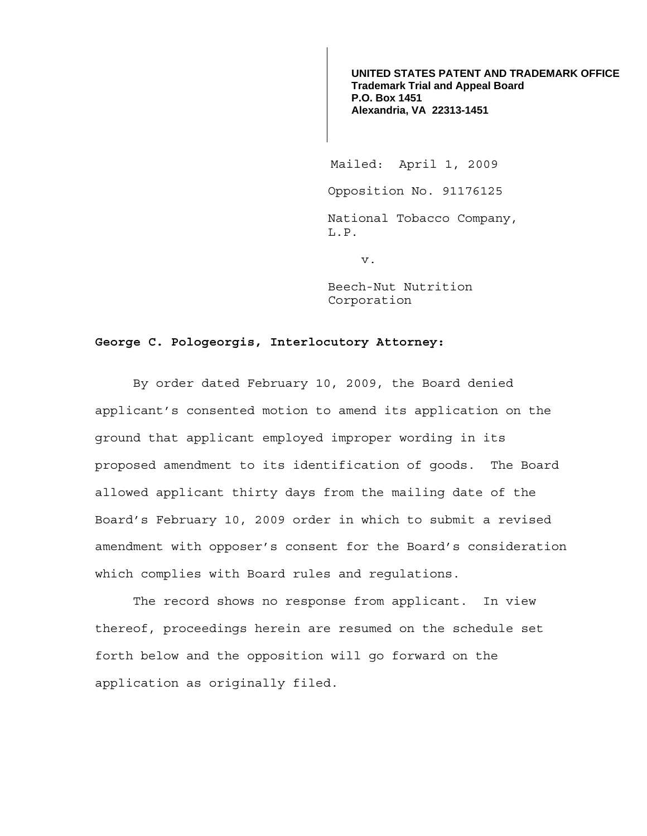**UNITED STATES PATENT AND TRADEMARK OFFICE Trademark Trial and Appeal Board P.O. Box 1451 Alexandria, VA 22313-1451**

Mailed: April 1, 2009

Opposition No. 91176125

National Tobacco Company, L.P.

v.

Beech-Nut Nutrition Corporation

## **George C. Pologeorgis, Interlocutory Attorney:**

 By order dated February 10, 2009, the Board denied applicant's consented motion to amend its application on the ground that applicant employed improper wording in its proposed amendment to its identification of goods. The Board allowed applicant thirty days from the mailing date of the Board's February 10, 2009 order in which to submit a revised amendment with opposer's consent for the Board's consideration which complies with Board rules and regulations.

The record shows no response from applicant. In view thereof, proceedings herein are resumed on the schedule set forth below and the opposition will go forward on the application as originally filed.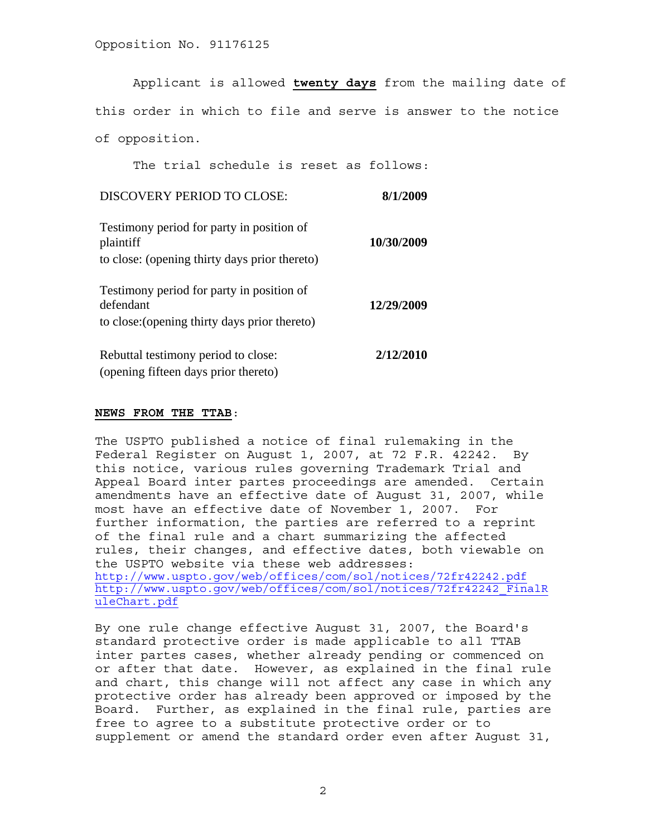Applicant is allowed **twenty days** from the mailing date of this order in which to file and serve is answer to the notice of opposition.

The trial schedule is reset as follows:

## DISCOVERY PERIOD TO CLOSE: **8/1/2009**

| Testimony period for party in position of<br>plaintiff<br>to close: (opening thirty days prior thereto) | 10/30/2009 |
|---------------------------------------------------------------------------------------------------------|------------|
| Testimony period for party in position of<br>defendant<br>to close: (opening thirty days prior thereto) | 12/29/2009 |
| Rebuttal testimony period to close:                                                                     | 2/12/2010  |

(opening fifteen days prior thereto)

## **NEWS FROM THE TTAB**:

The USPTO published a notice of final rulemaking in the Federal Register on August 1, 2007, at 72 F.R. 42242. By this notice, various rules governing Trademark Trial and Appeal Board inter partes proceedings are amended. Certain amendments have an effective date of August 31, 2007, while most have an effective date of November 1, 2007. For further information, the parties are referred to a reprint of the final rule and a chart summarizing the affected rules, their changes, and effective dates, both viewable on the USPTO website via these web addresses: http://www.uspto.gov/web/offices/com/sol/notices/72fr42242.pdf http://www.uspto.gov/web/offices/com/sol/notices/72fr42242\_FinalR uleChart.pdf

By one rule change effective August 31, 2007, the Board's standard protective order is made applicable to all TTAB inter partes cases, whether already pending or commenced on or after that date. However, as explained in the final rule and chart, this change will not affect any case in which any protective order has already been approved or imposed by the Board. Further, as explained in the final rule, parties are free to agree to a substitute protective order or to supplement or amend the standard order even after August 31,